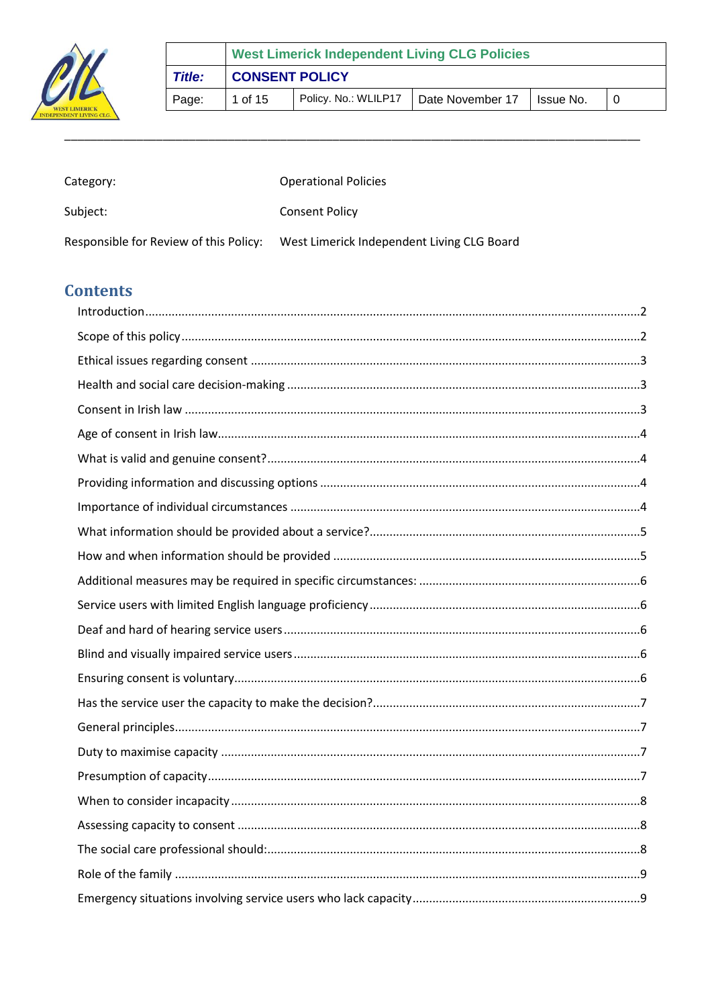

|        | <b>West Limerick Independent Living CLG Policies</b> |                      |                  |           |  |  |  |
|--------|------------------------------------------------------|----------------------|------------------|-----------|--|--|--|
| Title: | <b>CONSENT POLICY</b>                                |                      |                  |           |  |  |  |
| Page:  | 1 of 15                                              | Policy. No.: WLILP17 | Date November 17 | Issue No. |  |  |  |

| Category:                              | <b>Operational Policies</b>                |
|----------------------------------------|--------------------------------------------|
| Subject:                               | <b>Consent Policy</b>                      |
| Responsible for Review of this Policy: | West Limerick Independent Living CLG Board |

# **Contents**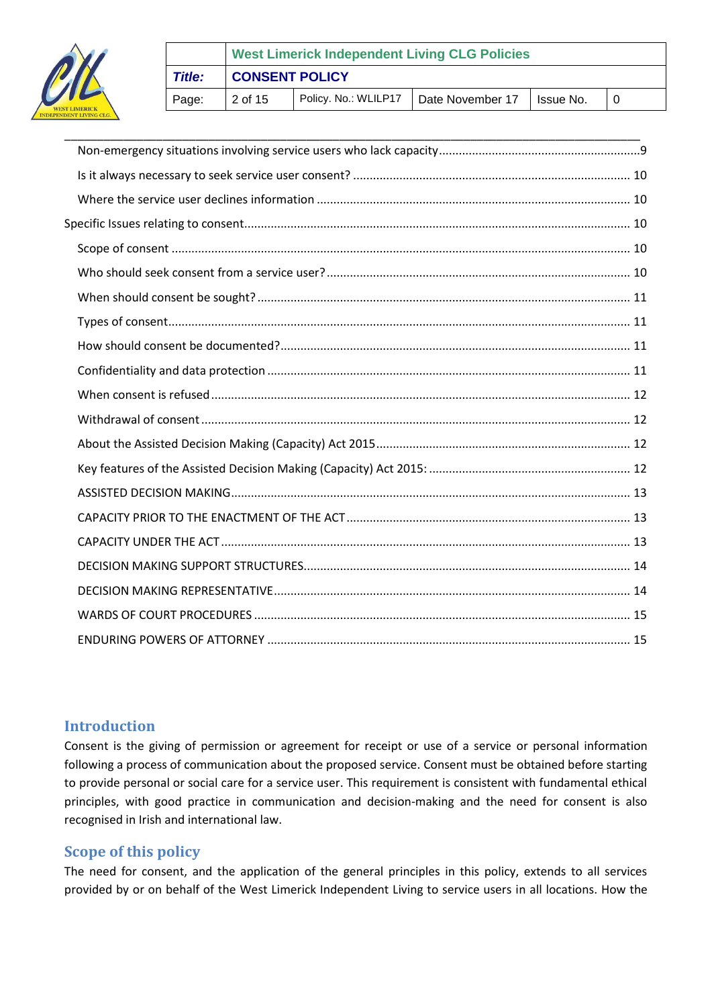

# **West Limerick Independent Living CLG Policies** *Title:* **CONSENT POLICY** Page:  $\begin{vmatrix} 2 & \text{of } 15 \end{vmatrix}$  Policy. No.: WLILP17  $\begin{vmatrix} \text{Date November 17} \end{vmatrix}$  Issue No.  $\begin{vmatrix} 0 & \text{Note} \end{vmatrix}$

### <span id="page-1-0"></span>**Introduction**

Consent is the giving of permission or agreement for receipt or use of a service or personal information following a process of communication about the proposed service. Consent must be obtained before starting to provide personal or social care for a service user. This requirement is consistent with fundamental ethical principles, with good practice in communication and decision‐making and the need for consent is also recognised in Irish and international law.

# <span id="page-1-1"></span>**Scope of this policy**

The need for consent, and the application of the general principles in this policy, extends to all services provided by or on behalf of the West Limerick Independent Living to service users in all locations. How the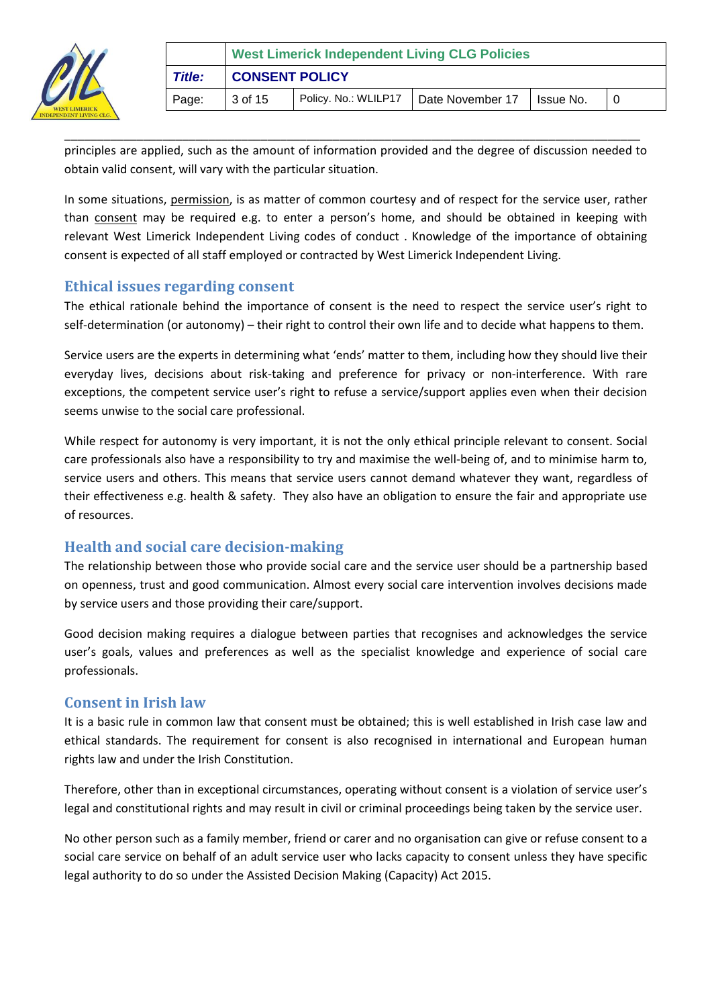

|               | <b>West Limerick Independent Living CLG Policies</b> |                      |                  |             |  |  |  |
|---------------|------------------------------------------------------|----------------------|------------------|-------------|--|--|--|
| <b>Title:</b> | <b>CONSENT POLICY</b>                                |                      |                  |             |  |  |  |
| Page:         | 3 of 15                                              | Policy. No.: WLILP17 | Date November 17 | I Issue No. |  |  |  |

\_\_\_\_\_\_\_\_\_\_\_\_\_\_\_\_\_\_\_\_\_\_\_\_\_\_\_\_\_\_\_\_\_\_\_\_\_\_\_\_\_\_\_\_\_\_\_\_\_\_\_\_\_\_\_\_\_\_\_\_\_\_\_\_\_\_\_\_\_\_\_\_\_\_\_\_\_\_\_\_\_\_\_\_\_\_\_\_ principles are applied, such as the amount of information provided and the degree of discussion needed to obtain valid consent, will vary with the particular situation.

In some situations, permission, is as matter of common courtesy and of respect for the service user, rather than consent may be required e.g. to enter a person's home, and should be obtained in keeping with relevant West Limerick Independent Living codes of conduct . Knowledge of the importance of obtaining consent is expected of all staff employed or contracted by West Limerick Independent Living.

### <span id="page-2-0"></span>**Ethical issues regarding consent**

The ethical rationale behind the importance of consent is the need to respect the service user's right to self-determination (or autonomy) – their right to control their own life and to decide what happens to them.

Service users are the experts in determining what 'ends' matter to them, including how they should live their everyday lives, decisions about risk‐taking and preference for privacy or non-interference. With rare exceptions, the competent service user's right to refuse a service/support applies even when their decision seems unwise to the social care professional.

While respect for autonomy is very important, it is not the only ethical principle relevant to consent. Social care professionals also have a responsibility to try and maximise the well‐being of, and to minimise harm to, service users and others. This means that service users cannot demand whatever they want, regardless of their effectiveness e.g. health & safety. They also have an obligation to ensure the fair and appropriate use of resources.

# <span id="page-2-1"></span>**Health and social care decision‐making**

The relationship between those who provide social care and the service user should be a partnership based on openness, trust and good communication. Almost every social care intervention involves decisions made by service users and those providing their care/support.

Good decision making requires a dialogue between parties that recognises and acknowledges the service user's goals, values and preferences as well as the specialist knowledge and experience of social care professionals.

# <span id="page-2-2"></span>**Consent in Irish law**

It is a basic rule in common law that consent must be obtained; this is well established in Irish case law and ethical standards. The requirement for consent is also recognised in international and European human rights law and under the Irish Constitution.

Therefore, other than in exceptional circumstances, operating without consent is a violation of service user's legal and constitutional rights and may result in civil or criminal proceedings being taken by the service user.

No other person such as a family member, friend or carer and no organisation can give or refuse consent to a social care service on behalf of an adult service user who lacks capacity to consent unless they have specific legal authority to do so under the Assisted Decision Making (Capacity) Act 2015.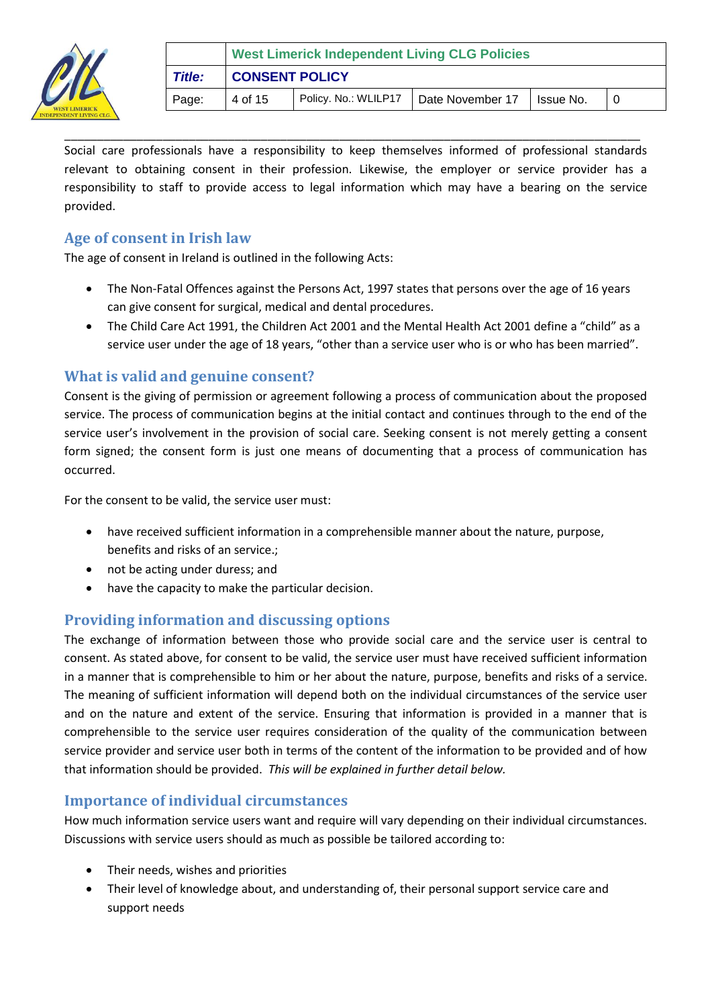

|        | <b>West Limerick Independent Living CLG Policies</b> |                                         |  |            |  |  |  |
|--------|------------------------------------------------------|-----------------------------------------|--|------------|--|--|--|
| Title: | <b>CONSENT POLICY</b>                                |                                         |  |            |  |  |  |
| Page:  | 4 of 15                                              | Policy. No.: WLILP17   Date November 17 |  | Ilssue No. |  |  |  |

\_\_\_\_\_\_\_\_\_\_\_\_\_\_\_\_\_\_\_\_\_\_\_\_\_\_\_\_\_\_\_\_\_\_\_\_\_\_\_\_\_\_\_\_\_\_\_\_\_\_\_\_\_\_\_\_\_\_\_\_\_\_\_\_\_\_\_\_\_\_\_\_\_\_\_\_\_\_\_\_\_\_\_\_\_\_\_\_ Social care professionals have a responsibility to keep themselves informed of professional standards relevant to obtaining consent in their profession. Likewise, the employer or service provider has a responsibility to staff to provide access to legal information which may have a bearing on the service provided.

### <span id="page-3-0"></span>**Age of consent in Irish law**

The age of consent in Ireland is outlined in the following Acts:

- The Non‐Fatal Offences against the Persons Act, 1997 states that persons over the age of 16 years can give consent for surgical, medical and dental procedures.
- The Child Care Act 1991, the Children Act 2001 and the Mental Health Act 2001 define a "child" as a service user under the age of 18 years, "other than a service user who is or who has been married".

### <span id="page-3-1"></span>**What is valid and genuine consent?**

Consent is the giving of permission or agreement following a process of communication about the proposed service. The process of communication begins at the initial contact and continues through to the end of the service user's involvement in the provision of social care. Seeking consent is not merely getting a consent form signed; the consent form is just one means of documenting that a process of communication has occurred.

For the consent to be valid, the service user must:

- have received sufficient information in a comprehensible manner about the nature, purpose, benefits and risks of an service.;
- not be acting under duress; and
- have the capacity to make the particular decision.

# <span id="page-3-2"></span>**Providing information and discussing options**

The exchange of information between those who provide social care and the service user is central to consent. As stated above, for consent to be valid, the service user must have received sufficient information in a manner that is comprehensible to him or her about the nature, purpose, benefits and risks of a service. The meaning of sufficient information will depend both on the individual circumstances of the service user and on the nature and extent of the service. Ensuring that information is provided in a manner that is comprehensible to the service user requires consideration of the quality of the communication between service provider and service user both in terms of the content of the information to be provided and of how that information should be provided. *This will be explained in further detail below.*

#### <span id="page-3-3"></span>**Importance of individual circumstances**

How much information service users want and require will vary depending on their individual circumstances. Discussions with service users should as much as possible be tailored according to:

- Their needs, wishes and priorities
- Their level of knowledge about, and understanding of, their personal support service care and support needs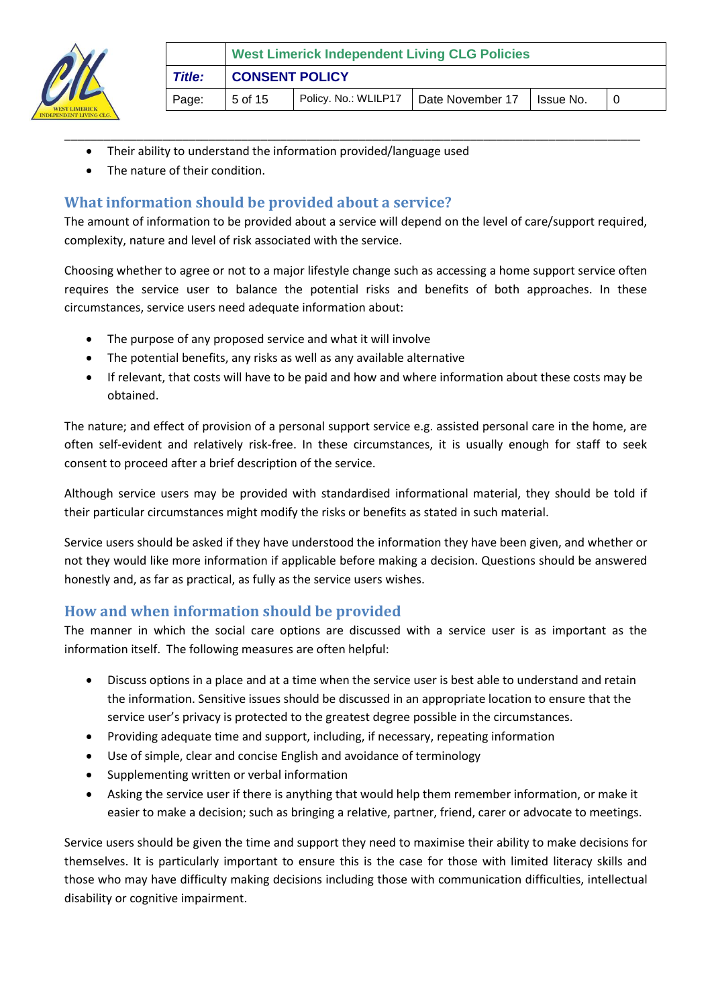

- Their ability to understand the information provided/language used
- The nature of their condition.

# <span id="page-4-0"></span>**What information should be provided about a service?**

The amount of information to be provided about a service will depend on the level of care/support required, complexity, nature and level of risk associated with the service.

\_\_\_\_\_\_\_\_\_\_\_\_\_\_\_\_\_\_\_\_\_\_\_\_\_\_\_\_\_\_\_\_\_\_\_\_\_\_\_\_\_\_\_\_\_\_\_\_\_\_\_\_\_\_\_\_\_\_\_\_\_\_\_\_\_\_\_\_\_\_\_\_\_\_\_\_\_\_\_\_\_\_\_\_\_\_\_\_

Choosing whether to agree or not to a major lifestyle change such as accessing a home support service often requires the service user to balance the potential risks and benefits of both approaches. In these circumstances, service users need adequate information about:

- The purpose of any proposed service and what it will involve
- The potential benefits, any risks as well as any available alternative
- If relevant, that costs will have to be paid and how and where information about these costs may be obtained.

The nature; and effect of provision of a personal support service e.g. assisted personal care in the home, are often self‐evident and relatively risk‐free. In these circumstances, it is usually enough for staff to seek consent to proceed after a brief description of the service.

Although service users may be provided with standardised informational material, they should be told if their particular circumstances might modify the risks or benefits as stated in such material.

Service users should be asked if they have understood the information they have been given, and whether or not they would like more information if applicable before making a decision. Questions should be answered honestly and, as far as practical, as fully as the service users wishes.

# <span id="page-4-1"></span>**How and when information should be provided**

The manner in which the social care options are discussed with a service user is as important as the information itself. The following measures are often helpful:

- Discuss options in a place and at a time when the service user is best able to understand and retain the information. Sensitive issues should be discussed in an appropriate location to ensure that the service user's privacy is protected to the greatest degree possible in the circumstances.
- Providing adequate time and support, including, if necessary, repeating information
- Use of simple, clear and concise English and avoidance of terminology
- Supplementing written or verbal information
- Asking the service user if there is anything that would help them remember information, or make it easier to make a decision; such as bringing a relative, partner, friend, carer or advocate to meetings.

Service users should be given the time and support they need to maximise their ability to make decisions for themselves. It is particularly important to ensure this is the case for those with limited literacy skills and those who may have difficulty making decisions including those with communication difficulties, intellectual disability or cognitive impairment.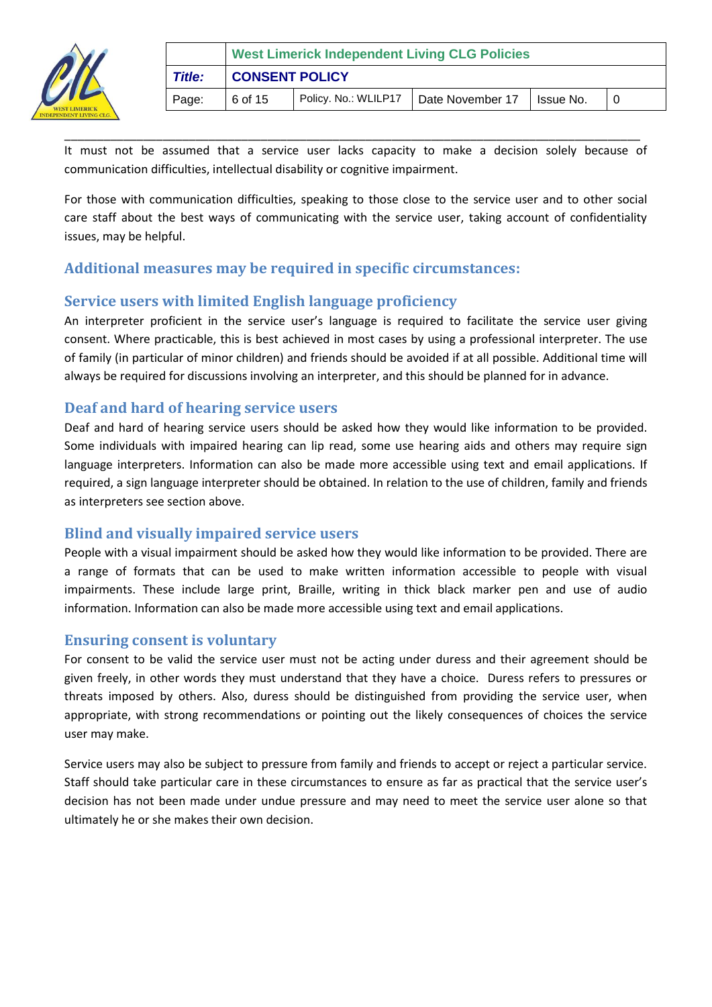

\_\_\_\_\_\_\_\_\_\_\_\_\_\_\_\_\_\_\_\_\_\_\_\_\_\_\_\_\_\_\_\_\_\_\_\_\_\_\_\_\_\_\_\_\_\_\_\_\_\_\_\_\_\_\_\_\_\_\_\_\_\_\_\_\_\_\_\_\_\_\_\_\_\_\_\_\_\_\_\_\_\_\_\_\_\_\_\_ It must not be assumed that a service user lacks capacity to make a decision solely because of communication difficulties, intellectual disability or cognitive impairment.

For those with communication difficulties, speaking to those close to the service user and to other social care staff about the best ways of communicating with the service user, taking account of confidentiality issues, may be helpful.

# <span id="page-5-0"></span>**Additional measures may be required in specific circumstances:**

# <span id="page-5-1"></span>**Service users with limited English language proficiency**

An interpreter proficient in the service user's language is required to facilitate the service user giving consent. Where practicable, this is best achieved in most cases by using a professional interpreter. The use of family (in particular of minor children) and friends should be avoided if at all possible. Additional time will always be required for discussions involving an interpreter, and this should be planned for in advance.

# <span id="page-5-2"></span>**Deaf and hard of hearing service users**

Deaf and hard of hearing service users should be asked how they would like information to be provided. Some individuals with impaired hearing can lip read, some use hearing aids and others may require sign language interpreters. Information can also be made more accessible using text and email applications. If required, a sign language interpreter should be obtained. In relation to the use of children, family and friends as interpreters see section above.

# <span id="page-5-3"></span>**Blind and visually impaired service users**

People with a visual impairment should be asked how they would like information to be provided. There are a range of formats that can be used to make written information accessible to people with visual impairments. These include large print, Braille, writing in thick black marker pen and use of audio information. Information can also be made more accessible using text and email applications.

# <span id="page-5-4"></span>**Ensuring consent is voluntary**

For consent to be valid the service user must not be acting under duress and their agreement should be given freely, in other words they must understand that they have a choice. Duress refers to pressures or threats imposed by others. Also, duress should be distinguished from providing the service user, when appropriate, with strong recommendations or pointing out the likely consequences of choices the service user may make.

Service users may also be subject to pressure from family and friends to accept or reject a particular service. Staff should take particular care in these circumstances to ensure as far as practical that the service user's decision has not been made under undue pressure and may need to meet the service user alone so that ultimately he or she makes their own decision.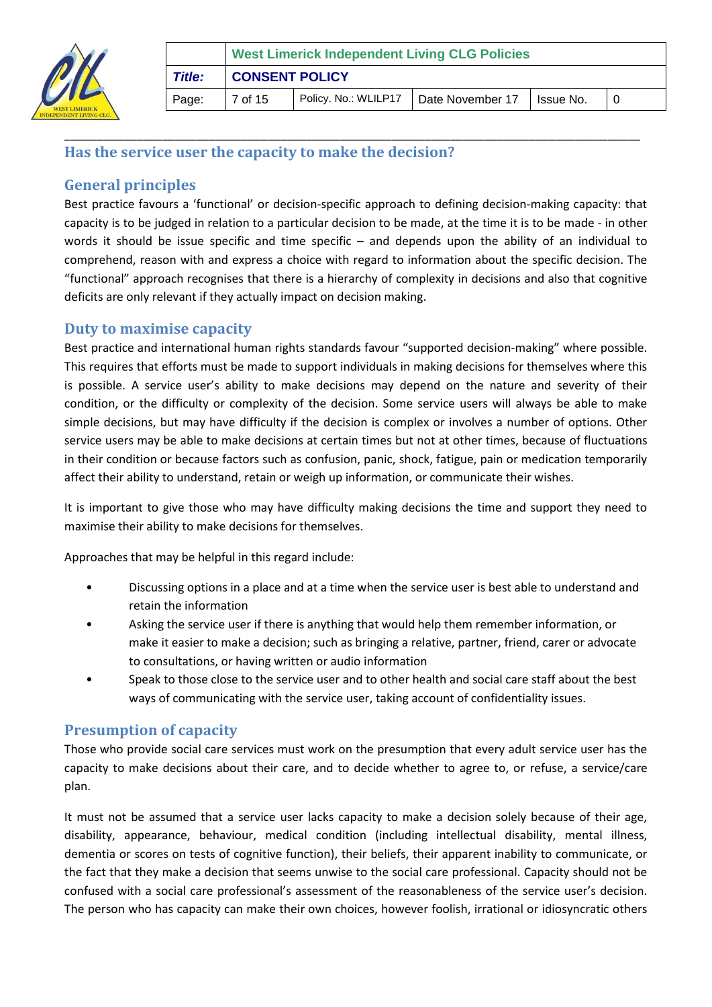

# <span id="page-6-0"></span>**Has the service user the capacity to make the decision?**

# <span id="page-6-1"></span>**General principles**

Best practice favours a 'functional' or decision-specific approach to defining decision-making capacity: that capacity is to be judged in relation to a particular decision to be made, at the time it is to be made ‐ in other words it should be issue specific and time specific – and depends upon the ability of an individual to comprehend, reason with and express a choice with regard to information about the specific decision. The "functional" approach recognises that there is a hierarchy of complexity in decisions and also that cognitive deficits are only relevant if they actually impact on decision making.

\_\_\_\_\_\_\_\_\_\_\_\_\_\_\_\_\_\_\_\_\_\_\_\_\_\_\_\_\_\_\_\_\_\_\_\_\_\_\_\_\_\_\_\_\_\_\_\_\_\_\_\_\_\_\_\_\_\_\_\_\_\_\_\_\_\_\_\_\_\_\_\_\_\_\_\_\_\_\_\_\_\_\_\_\_\_\_\_

# <span id="page-6-2"></span>**Duty to maximise capacity**

Best practice and international human rights standards favour "supported decision-making" where possible. This requires that efforts must be made to support individuals in making decisions for themselves where this is possible. A service user's ability to make decisions may depend on the nature and severity of their condition, or the difficulty or complexity of the decision. Some service users will always be able to make simple decisions, but may have difficulty if the decision is complex or involves a number of options. Other service users may be able to make decisions at certain times but not at other times, because of fluctuations in their condition or because factors such as confusion, panic, shock, fatigue, pain or medication temporarily affect their ability to understand, retain or weigh up information, or communicate their wishes.

It is important to give those who may have difficulty making decisions the time and support they need to maximise their ability to make decisions for themselves.

Approaches that may be helpful in this regard include:

- Discussing options in a place and at a time when the service user is best able to understand and retain the information
- Asking the service user if there is anything that would help them remember information, or make it easier to make a decision; such as bringing a relative, partner, friend, carer or advocate to consultations, or having written or audio information
- Speak to those close to the service user and to other health and social care staff about the best ways of communicating with the service user, taking account of confidentiality issues.

# <span id="page-6-3"></span>**Presumption of capacity**

Those who provide social care services must work on the presumption that every adult service user has the capacity to make decisions about their care, and to decide whether to agree to, or refuse, a service/care plan.

It must not be assumed that a service user lacks capacity to make a decision solely because of their age, disability, appearance, behaviour, medical condition (including intellectual disability, mental illness, dementia or scores on tests of cognitive function), their beliefs, their apparent inability to communicate, or the fact that they make a decision that seems unwise to the social care professional. Capacity should not be confused with a social care professional's assessment of the reasonableness of the service user's decision. The person who has capacity can make their own choices, however foolish, irrational or idiosyncratic others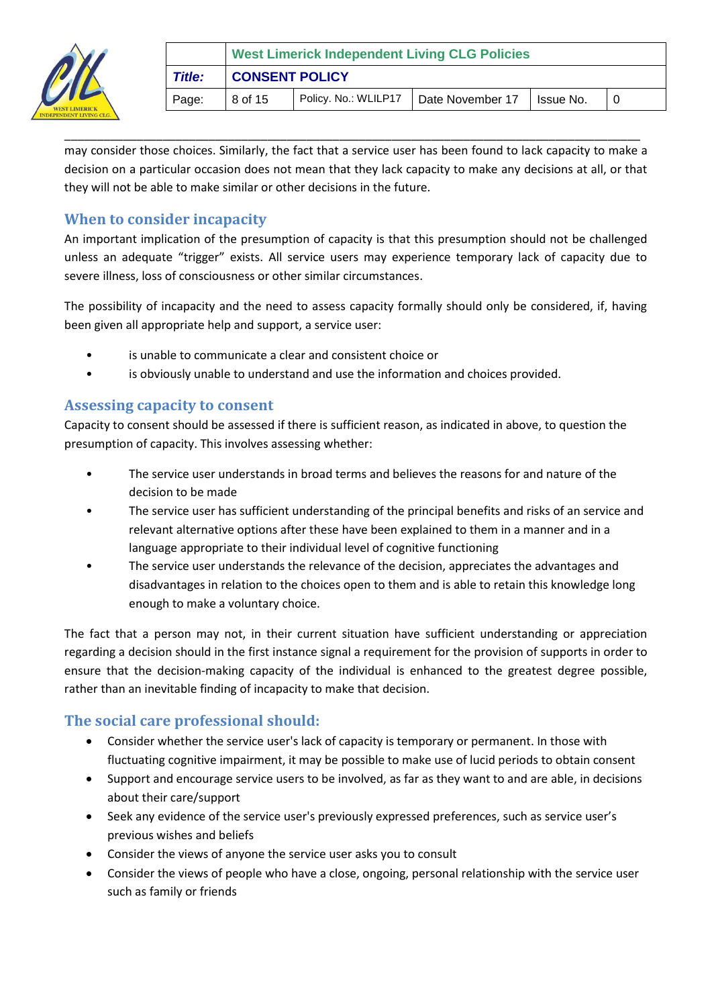

|        | <b>West Limerick Independent Living CLG Policies</b> |                                         |  |            |  |  |  |
|--------|------------------------------------------------------|-----------------------------------------|--|------------|--|--|--|
| Title: | <b>CONSENT POLICY</b>                                |                                         |  |            |  |  |  |
| Page:  | 8 of 15                                              | Policy. No.: WLILP17   Date November 17 |  | ∐lssue No. |  |  |  |

\_\_\_\_\_\_\_\_\_\_\_\_\_\_\_\_\_\_\_\_\_\_\_\_\_\_\_\_\_\_\_\_\_\_\_\_\_\_\_\_\_\_\_\_\_\_\_\_\_\_\_\_\_\_\_\_\_\_\_\_\_\_\_\_\_\_\_\_\_\_\_\_\_\_\_\_\_\_\_\_\_\_\_\_\_\_\_\_ may consider those choices. Similarly, the fact that a service user has been found to lack capacity to make a decision on a particular occasion does not mean that they lack capacity to make any decisions at all, or that they will not be able to make similar or other decisions in the future.

# <span id="page-7-0"></span>**When to consider incapacity**

An important implication of the presumption of capacity is that this presumption should not be challenged unless an adequate "trigger" exists. All service users may experience temporary lack of capacity due to severe illness, loss of consciousness or other similar circumstances.

The possibility of incapacity and the need to assess capacity formally should only be considered, if, having been given all appropriate help and support, a service user:

- is unable to communicate a clear and consistent choice or
- is obviously unable to understand and use the information and choices provided.

#### <span id="page-7-1"></span>**Assessing capacity to consent**

Capacity to consent should be assessed if there is sufficient reason, as indicated in above, to question the presumption of capacity. This involves assessing whether:

- The service user understands in broad terms and believes the reasons for and nature of the decision to be made
- The service user has sufficient understanding of the principal benefits and risks of an service and relevant alternative options after these have been explained to them in a manner and in a language appropriate to their individual level of cognitive functioning
- The service user understands the relevance of the decision, appreciates the advantages and disadvantages in relation to the choices open to them and is able to retain this knowledge long enough to make a voluntary choice.

The fact that a person may not, in their current situation have sufficient understanding or appreciation regarding a decision should in the first instance signal a requirement for the provision of supports in order to ensure that the decision-making capacity of the individual is enhanced to the greatest degree possible, rather than an inevitable finding of incapacity to make that decision.

# <span id="page-7-2"></span>**The social care professional should:**

- Consider whether the service user's lack of capacity is temporary or permanent. In those with fluctuating cognitive impairment, it may be possible to make use of lucid periods to obtain consent
- Support and encourage service users to be involved, as far as they want to and are able, in decisions about their care/support
- Seek any evidence of the service user's previously expressed preferences, such as service user's previous wishes and beliefs
- Consider the views of anyone the service user asks you to consult
- Consider the views of people who have a close, ongoing, personal relationship with the service user such as family or friends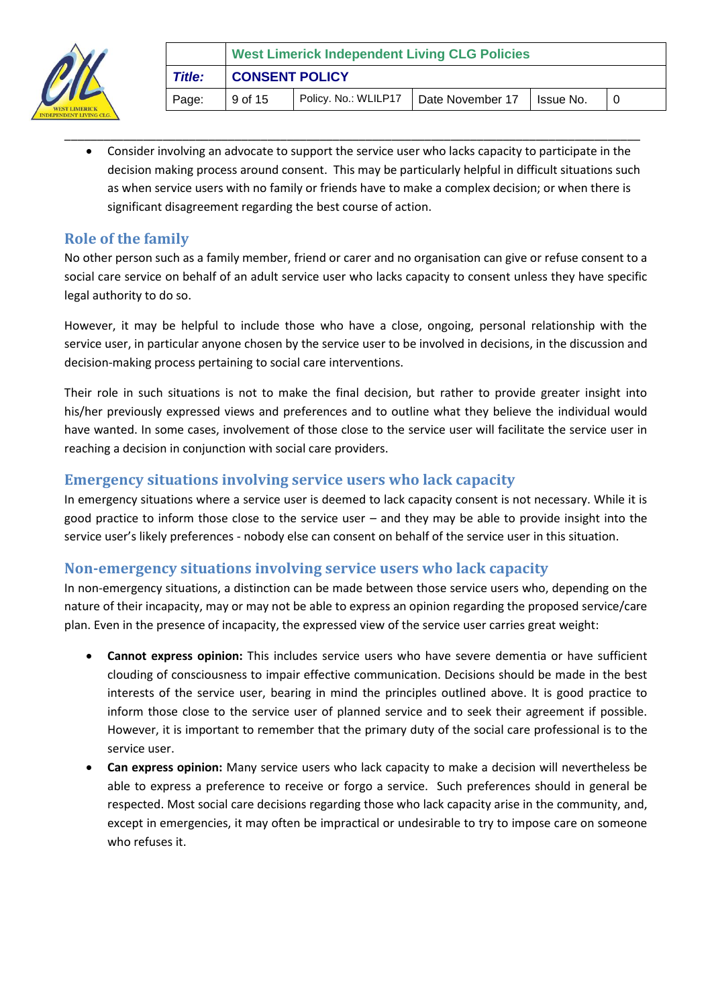

 Consider involving an advocate to support the service user who lacks capacity to participate in the decision making process around consent. This may be particularly helpful in difficult situations such as when service users with no family or friends have to make a complex decision; or when there is significant disagreement regarding the best course of action.

\_\_\_\_\_\_\_\_\_\_\_\_\_\_\_\_\_\_\_\_\_\_\_\_\_\_\_\_\_\_\_\_\_\_\_\_\_\_\_\_\_\_\_\_\_\_\_\_\_\_\_\_\_\_\_\_\_\_\_\_\_\_\_\_\_\_\_\_\_\_\_\_\_\_\_\_\_\_\_\_\_\_\_\_\_\_\_\_

# <span id="page-8-0"></span>**Role of the family**

No other person such as a family member, friend or carer and no organisation can give or refuse consent to a social care service on behalf of an adult service user who lacks capacity to consent unless they have specific legal authority to do so.

However, it may be helpful to include those who have a close, ongoing, personal relationship with the service user, in particular anyone chosen by the service user to be involved in decisions, in the discussion and decision‐making process pertaining to social care interventions.

Their role in such situations is not to make the final decision, but rather to provide greater insight into his/her previously expressed views and preferences and to outline what they believe the individual would have wanted. In some cases, involvement of those close to the service user will facilitate the service user in reaching a decision in conjunction with social care providers.

### <span id="page-8-1"></span>**Emergency situations involving service users who lack capacity**

In emergency situations where a service user is deemed to lack capacity consent is not necessary. While it is good practice to inform those close to the service user – and they may be able to provide insight into the service user's likely preferences - nobody else can consent on behalf of the service user in this situation.

# <span id="page-8-2"></span>**Non‐emergency situations involving service users who lack capacity**

In non-emergency situations, a distinction can be made between those service users who, depending on the nature of their incapacity, may or may not be able to express an opinion regarding the proposed service/care plan. Even in the presence of incapacity, the expressed view of the service user carries great weight:

- **Cannot express opinion:** This includes service users who have severe dementia or have sufficient clouding of consciousness to impair effective communication. Decisions should be made in the best interests of the service user, bearing in mind the principles outlined above. It is good practice to inform those close to the service user of planned service and to seek their agreement if possible. However, it is important to remember that the primary duty of the social care professional is to the service user.
- **Can express opinion:** Many service users who lack capacity to make a decision will nevertheless be able to express a preference to receive or forgo a service. Such preferences should in general be respected. Most social care decisions regarding those who lack capacity arise in the community, and, except in emergencies, it may often be impractical or undesirable to try to impose care on someone who refuses it.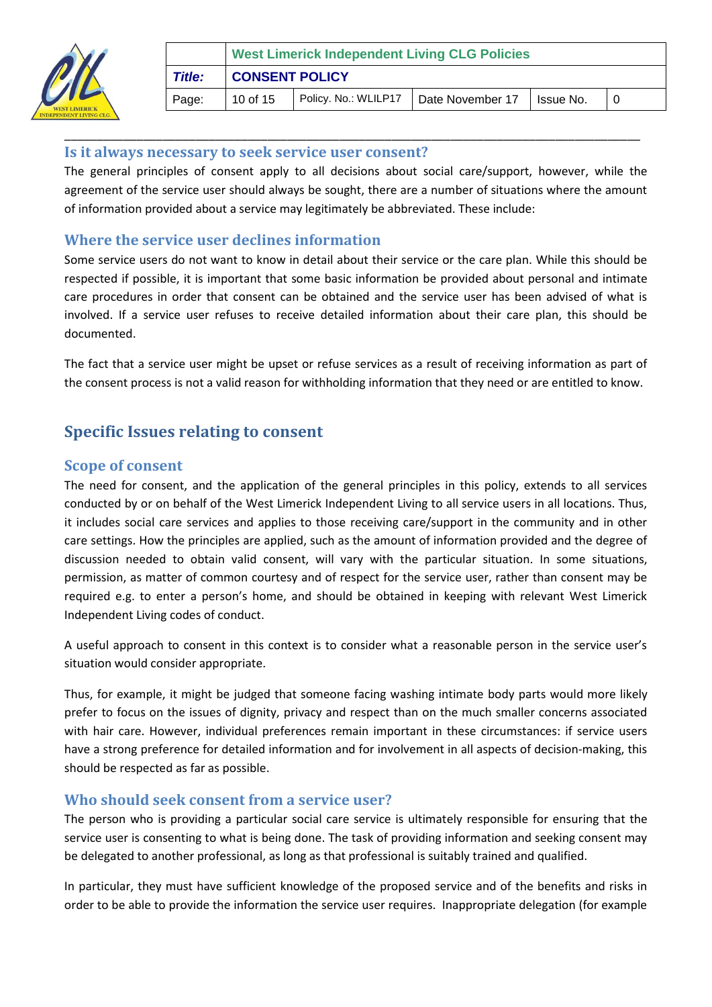

|               | <b>West Limerick Independent Living CLG Policies</b> |                      |                              |  |  |  |  |
|---------------|------------------------------------------------------|----------------------|------------------------------|--|--|--|--|
| <b>Title:</b> | <b>CONSENT POLICY</b>                                |                      |                              |  |  |  |  |
| Page:         | 10 of 15                                             | Policy. No.: WLILP17 | Date November 17   Issue No. |  |  |  |  |

#### <span id="page-9-0"></span>**Is it always necessary to seek service user consent?**

The general principles of consent apply to all decisions about social care/support, however, while the agreement of the service user should always be sought, there are a number of situations where the amount of information provided about a service may legitimately be abbreviated. These include:

\_\_\_\_\_\_\_\_\_\_\_\_\_\_\_\_\_\_\_\_\_\_\_\_\_\_\_\_\_\_\_\_\_\_\_\_\_\_\_\_\_\_\_\_\_\_\_\_\_\_\_\_\_\_\_\_\_\_\_\_\_\_\_\_\_\_\_\_\_\_\_\_\_\_\_\_\_\_\_\_\_\_\_\_\_\_\_\_

### <span id="page-9-1"></span>**Where the service user declines information**

Some service users do not want to know in detail about their service or the care plan. While this should be respected if possible, it is important that some basic information be provided about personal and intimate care procedures in order that consent can be obtained and the service user has been advised of what is involved. If a service user refuses to receive detailed information about their care plan, this should be documented.

The fact that a service user might be upset or refuse services as a result of receiving information as part of the consent process is not a valid reason for withholding information that they need or are entitled to know.

# <span id="page-9-2"></span>**Specific Issues relating to consent**

#### <span id="page-9-3"></span>**Scope of consent**

The need for consent, and the application of the general principles in this policy, extends to all services conducted by or on behalf of the West Limerick Independent Living to all service users in all locations. Thus, it includes social care services and applies to those receiving care/support in the community and in other care settings. How the principles are applied, such as the amount of information provided and the degree of discussion needed to obtain valid consent, will vary with the particular situation. In some situations, permission, as matter of common courtesy and of respect for the service user, rather than consent may be required e.g. to enter a person's home, and should be obtained in keeping with relevant West Limerick Independent Living codes of conduct.

A useful approach to consent in this context is to consider what a reasonable person in the service user's situation would consider appropriate.

Thus, for example, it might be judged that someone facing washing intimate body parts would more likely prefer to focus on the issues of dignity, privacy and respect than on the much smaller concerns associated with hair care. However, individual preferences remain important in these circumstances: if service users have a strong preference for detailed information and for involvement in all aspects of decision‐making, this should be respected as far as possible.

#### <span id="page-9-4"></span>**Who should seek consent from a service user?**

The person who is providing a particular social care service is ultimately responsible for ensuring that the service user is consenting to what is being done. The task of providing information and seeking consent may be delegated to another professional, as long as that professional is suitably trained and qualified.

In particular, they must have sufficient knowledge of the proposed service and of the benefits and risks in order to be able to provide the information the service user requires. Inappropriate delegation (for example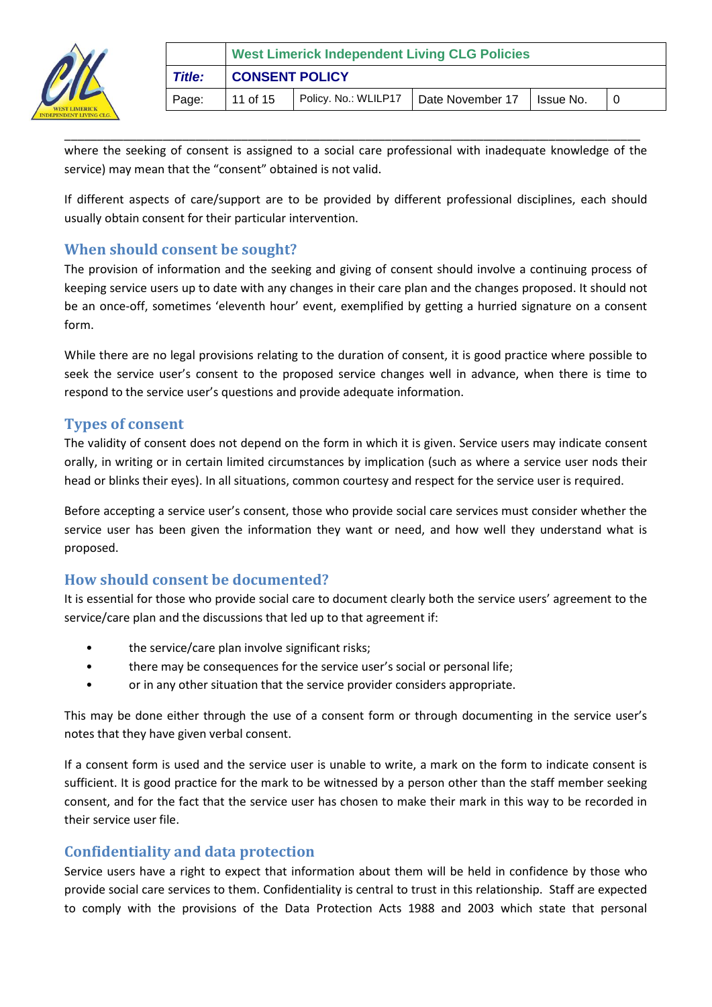

|               | <b>West Limerick Independent Living CLG Policies</b> |                                         |  |            |  |  |  |
|---------------|------------------------------------------------------|-----------------------------------------|--|------------|--|--|--|
| <b>Title:</b> | <b>CONSENT POLICY</b>                                |                                         |  |            |  |  |  |
| Page:         | 11 of 15                                             | Policy. No.: WLILP17   Date November 17 |  | Ilssue No. |  |  |  |

where the seeking of consent is assigned to a social care professional with inadequate knowledge of the service) may mean that the "consent" obtained is not valid.

\_\_\_\_\_\_\_\_\_\_\_\_\_\_\_\_\_\_\_\_\_\_\_\_\_\_\_\_\_\_\_\_\_\_\_\_\_\_\_\_\_\_\_\_\_\_\_\_\_\_\_\_\_\_\_\_\_\_\_\_\_\_\_\_\_\_\_\_\_\_\_\_\_\_\_\_\_\_\_\_\_\_\_\_\_\_\_\_

If different aspects of care/support are to be provided by different professional disciplines, each should usually obtain consent for their particular intervention.

### <span id="page-10-0"></span>**When should consent be sought?**

The provision of information and the seeking and giving of consent should involve a continuing process of keeping service users up to date with any changes in their care plan and the changes proposed. It should not be an once-off, sometimes 'eleventh hour' event, exemplified by getting a hurried signature on a consent form.

While there are no legal provisions relating to the duration of consent, it is good practice where possible to seek the service user's consent to the proposed service changes well in advance, when there is time to respond to the service user's questions and provide adequate information.

#### <span id="page-10-1"></span>**Types of consent**

The validity of consent does not depend on the form in which it is given. Service users may indicate consent orally, in writing or in certain limited circumstances by implication (such as where a service user nods their head or blinks their eyes). In all situations, common courtesy and respect for the service user is required.

Before accepting a service user's consent, those who provide social care services must consider whether the service user has been given the information they want or need, and how well they understand what is proposed.

# <span id="page-10-2"></span>**How should consent be documented?**

It is essential for those who provide social care to document clearly both the service users' agreement to the service/care plan and the discussions that led up to that agreement if:

- the service/care plan involve significant risks;
- there may be consequences for the service user's social or personal life;
- or in any other situation that the service provider considers appropriate.

This may be done either through the use of a consent form or through documenting in the service user's notes that they have given verbal consent.

If a consent form is used and the service user is unable to write, a mark on the form to indicate consent is sufficient. It is good practice for the mark to be witnessed by a person other than the staff member seeking consent, and for the fact that the service user has chosen to make their mark in this way to be recorded in their service user file.

# <span id="page-10-3"></span>**Confidentiality and data protection**

Service users have a right to expect that information about them will be held in confidence by those who provide social care services to them. Confidentiality is central to trust in this relationship. Staff are expected to comply with the provisions of the Data Protection Acts 1988 and 2003 which state that personal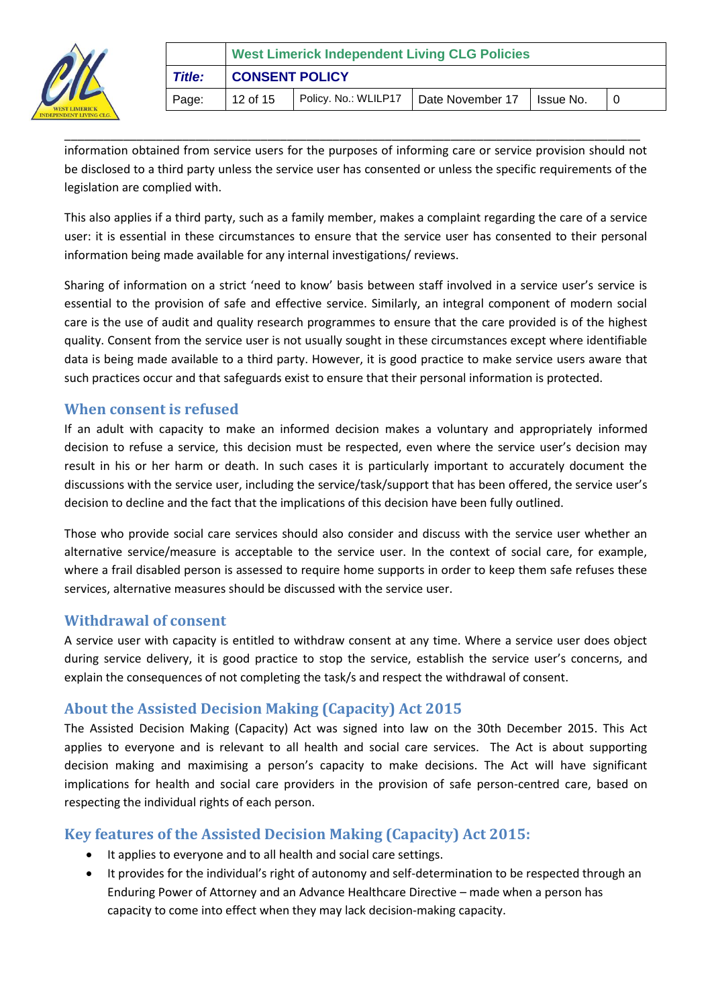

|               | <b>West Limerick Independent Living CLG Policies</b> |                      |                  |            |  |  |  |
|---------------|------------------------------------------------------|----------------------|------------------|------------|--|--|--|
| <b>Title:</b> | <b>CONSENT POLICY</b>                                |                      |                  |            |  |  |  |
| Page:         | 12 of 15                                             | Policy. No.: WLILP17 | Date November 17 | ∐lssue No. |  |  |  |

\_\_\_\_\_\_\_\_\_\_\_\_\_\_\_\_\_\_\_\_\_\_\_\_\_\_\_\_\_\_\_\_\_\_\_\_\_\_\_\_\_\_\_\_\_\_\_\_\_\_\_\_\_\_\_\_\_\_\_\_\_\_\_\_\_\_\_\_\_\_\_\_\_\_\_\_\_\_\_\_\_\_\_\_\_\_\_\_ information obtained from service users for the purposes of informing care or service provision should not be disclosed to a third party unless the service user has consented or unless the specific requirements of the legislation are complied with.

This also applies if a third party, such as a family member, makes a complaint regarding the care of a service user: it is essential in these circumstances to ensure that the service user has consented to their personal information being made available for any internal investigations/ reviews.

Sharing of information on a strict 'need to know' basis between staff involved in a service user's service is essential to the provision of safe and effective service. Similarly, an integral component of modern social care is the use of audit and quality research programmes to ensure that the care provided is of the highest quality. Consent from the service user is not usually sought in these circumstances except where identifiable data is being made available to a third party. However, it is good practice to make service users aware that such practices occur and that safeguards exist to ensure that their personal information is protected.

#### <span id="page-11-0"></span>**When consent is refused**

If an adult with capacity to make an informed decision makes a voluntary and appropriately informed decision to refuse a service, this decision must be respected, even where the service user's decision may result in his or her harm or death. In such cases it is particularly important to accurately document the discussions with the service user, including the service/task/support that has been offered, the service user's decision to decline and the fact that the implications of this decision have been fully outlined.

Those who provide social care services should also consider and discuss with the service user whether an alternative service/measure is acceptable to the service user. In the context of social care, for example, where a frail disabled person is assessed to require home supports in order to keep them safe refuses these services, alternative measures should be discussed with the service user.

#### <span id="page-11-1"></span>**Withdrawal of consent**

A service user with capacity is entitled to withdraw consent at any time. Where a service user does object during service delivery, it is good practice to stop the service, establish the service user's concerns, and explain the consequences of not completing the task/s and respect the withdrawal of consent.

#### <span id="page-11-2"></span>**About the Assisted Decision Making (Capacity) Act 2015**

The Assisted Decision Making (Capacity) Act was signed into law on the 30th December 2015. This Act applies to everyone and is relevant to all health and social care services. The Act is about supporting decision making and maximising a person's capacity to make decisions. The Act will have significant implications for health and social care providers in the provision of safe person-centred care, based on respecting the individual rights of each person.

#### <span id="page-11-3"></span>**Key features of the Assisted Decision Making (Capacity) Act 2015:**

- It applies to everyone and to all health and social care settings.
- It provides for the individual's right of autonomy and self-determination to be respected through an Enduring Power of Attorney and an Advance Healthcare Directive – made when a person has capacity to come into effect when they may lack decision-making capacity.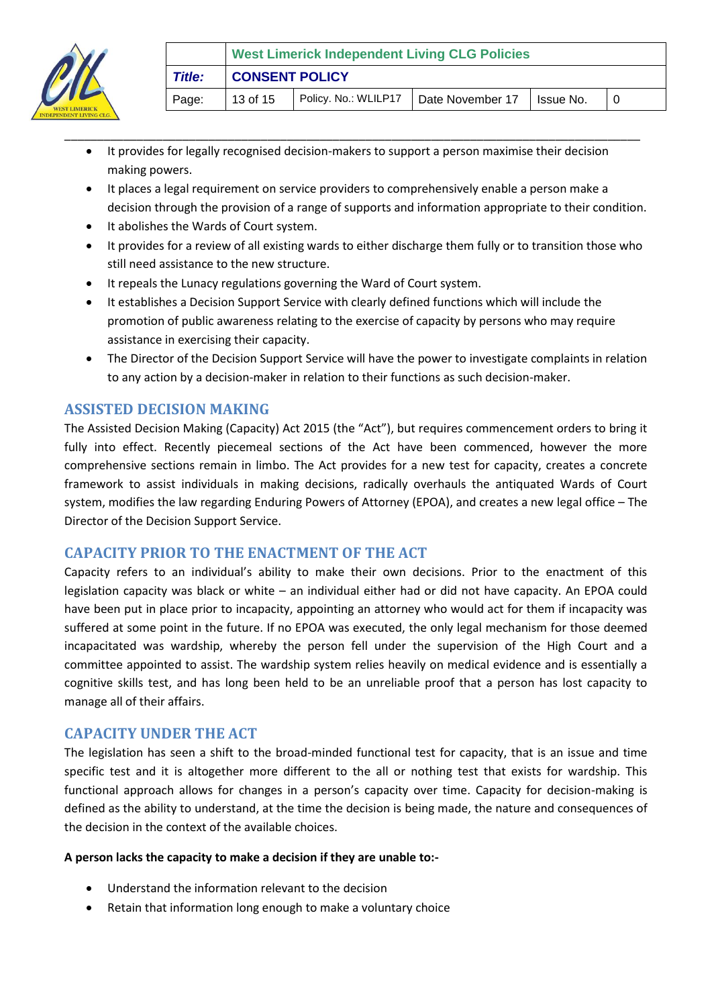

 It provides for legally recognised decision-makers to support a person maximise their decision making powers.

\_\_\_\_\_\_\_\_\_\_\_\_\_\_\_\_\_\_\_\_\_\_\_\_\_\_\_\_\_\_\_\_\_\_\_\_\_\_\_\_\_\_\_\_\_\_\_\_\_\_\_\_\_\_\_\_\_\_\_\_\_\_\_\_\_\_\_\_\_\_\_\_\_\_\_\_\_\_\_\_\_\_\_\_\_\_\_\_

- It places a legal requirement on service providers to comprehensively enable a person make a decision through the provision of a range of supports and information appropriate to their condition.
- It abolishes the Wards of Court system.
- It provides for a review of all existing wards to either discharge them fully or to transition those who still need assistance to the new structure.
- It repeals the Lunacy regulations governing the Ward of Court system.
- It establishes a Decision Support Service with clearly defined functions which will include the promotion of public awareness relating to the exercise of capacity by persons who may require assistance in exercising their capacity.
- The Director of the Decision Support Service will have the power to investigate complaints in relation to any action by a decision-maker in relation to their functions as such decision-maker.

### <span id="page-12-0"></span>**ASSISTED DECISION MAKING**

The Assisted Decision Making (Capacity) Act 2015 (the "Act"), but requires commencement orders to bring it fully into effect. Recently piecemeal sections of the Act have been commenced, however the more comprehensive sections remain in limbo. The Act provides for a new test for capacity, creates a concrete framework to assist individuals in making decisions, radically overhauls the antiquated Wards of Court system, modifies the law regarding Enduring Powers of Attorney (EPOA), and creates a new legal office – The Director of the Decision Support Service.

#### <span id="page-12-1"></span>**CAPACITY PRIOR TO THE ENACTMENT OF THE ACT**

Capacity refers to an individual's ability to make their own decisions. Prior to the enactment of this legislation capacity was black or white – an individual either had or did not have capacity. An EPOA could have been put in place prior to incapacity, appointing an attorney who would act for them if incapacity was suffered at some point in the future. If no EPOA was executed, the only legal mechanism for those deemed incapacitated was wardship, whereby the person fell under the supervision of the High Court and a committee appointed to assist. The wardship system relies heavily on medical evidence and is essentially a cognitive skills test, and has long been held to be an unreliable proof that a person has lost capacity to manage all of their affairs.

#### <span id="page-12-2"></span>**CAPACITY UNDER THE ACT**

The legislation has seen a shift to the broad-minded functional test for capacity, that is an issue and time specific test and it is altogether more different to the all or nothing test that exists for wardship. This functional approach allows for changes in a person's capacity over time. Capacity for decision-making is defined as the ability to understand, at the time the decision is being made, the nature and consequences of the decision in the context of the available choices.

#### **A person lacks the capacity to make a decision if they are unable to:-**

- Understand the information relevant to the decision
- Retain that information long enough to make a voluntary choice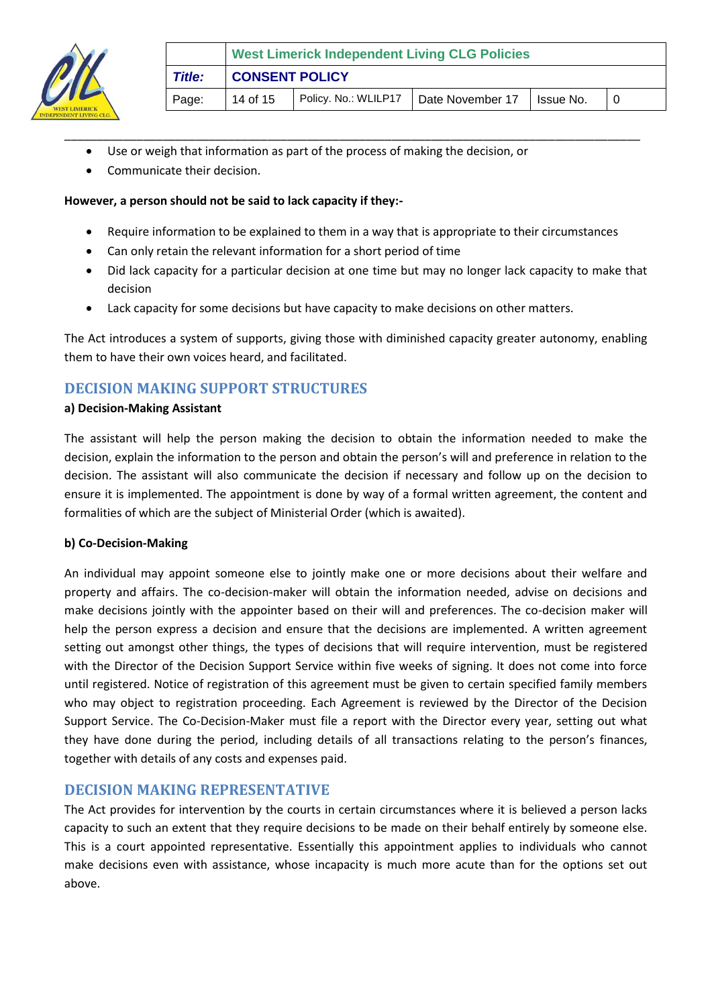

- Use or weigh that information as part of the process of making the decision, or
- Communicate their decision.

#### **However, a person should not be said to lack capacity if they:-**

Require information to be explained to them in a way that is appropriate to their circumstances

\_\_\_\_\_\_\_\_\_\_\_\_\_\_\_\_\_\_\_\_\_\_\_\_\_\_\_\_\_\_\_\_\_\_\_\_\_\_\_\_\_\_\_\_\_\_\_\_\_\_\_\_\_\_\_\_\_\_\_\_\_\_\_\_\_\_\_\_\_\_\_\_\_\_\_\_\_\_\_\_\_\_\_\_\_\_\_\_

- Can only retain the relevant information for a short period of time
- Did lack capacity for a particular decision at one time but may no longer lack capacity to make that decision
- Lack capacity for some decisions but have capacity to make decisions on other matters.

The Act introduces a system of supports, giving those with diminished capacity greater autonomy, enabling them to have their own voices heard, and facilitated.

# <span id="page-13-0"></span>**DECISION MAKING SUPPORT STRUCTURES**

#### **a) Decision-Making Assistant**

The assistant will help the person making the decision to obtain the information needed to make the decision, explain the information to the person and obtain the person's will and preference in relation to the decision. The assistant will also communicate the decision if necessary and follow up on the decision to ensure it is implemented. The appointment is done by way of a formal written agreement, the content and formalities of which are the subject of Ministerial Order (which is awaited).

#### **b) Co-Decision-Making**

An individual may appoint someone else to jointly make one or more decisions about their welfare and property and affairs. The co-decision-maker will obtain the information needed, advise on decisions and make decisions jointly with the appointer based on their will and preferences. The co-decision maker will help the person express a decision and ensure that the decisions are implemented. A written agreement setting out amongst other things, the types of decisions that will require intervention, must be registered with the Director of the Decision Support Service within five weeks of signing. It does not come into force until registered. Notice of registration of this agreement must be given to certain specified family members who may object to registration proceeding. Each Agreement is reviewed by the Director of the Decision Support Service. The Co-Decision-Maker must file a report with the Director every year, setting out what they have done during the period, including details of all transactions relating to the person's finances, together with details of any costs and expenses paid.

#### <span id="page-13-1"></span>**DECISION MAKING REPRESENTATIVE**

The Act provides for intervention by the courts in certain circumstances where it is believed a person lacks capacity to such an extent that they require decisions to be made on their behalf entirely by someone else. This is a court appointed representative. Essentially this appointment applies to individuals who cannot make decisions even with assistance, whose incapacity is much more acute than for the options set out above.